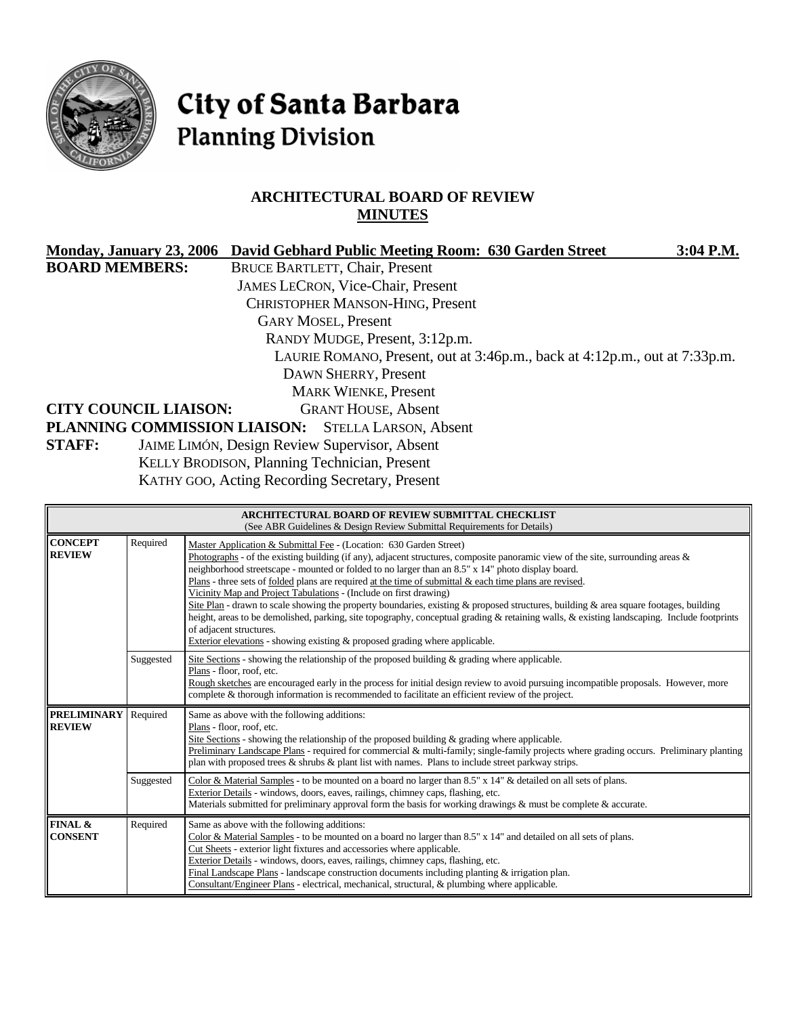

# City of Santa Barbara **Planning Division**

# **ARCHITECTURAL BOARD OF REVIEW MINUTES**

|                              |                                              |  |                                                      | Monday, January 23, 2006 David Gebhard Public Meeting Room: 630 Garden Street | 3:04 P.M. |
|------------------------------|----------------------------------------------|--|------------------------------------------------------|-------------------------------------------------------------------------------|-----------|
| <b>BOARD MEMBERS:</b>        |                                              |  | <b>BRUCE BARTLETT, Chair, Present</b>                |                                                                               |           |
|                              |                                              |  | <b>JAMES LECRON, Vice-Chair, Present</b>             |                                                                               |           |
|                              |                                              |  | <b>CHRISTOPHER MANSON-HING, Present</b>              |                                                                               |           |
|                              |                                              |  | <b>GARY MOSEL, Present</b>                           |                                                                               |           |
|                              |                                              |  | RANDY MUDGE, Present, 3:12p.m.                       |                                                                               |           |
|                              |                                              |  |                                                      | LAURIE ROMANO, Present, out at 3:46p.m., back at 4:12p.m., out at 7:33p.m.    |           |
|                              |                                              |  | DAWN SHERRY, Present                                 |                                                                               |           |
|                              |                                              |  | <b>MARK WIENKE, Present</b>                          |                                                                               |           |
| <b>CITY COUNCIL LIAISON:</b> |                                              |  | <b>GRANT HOUSE, Absent</b>                           |                                                                               |           |
|                              |                                              |  | PLANNING COMMISSION LIAISON: STELLA LARSON, Absent   |                                                                               |           |
| <b>STAFF:</b>                |                                              |  | <b>JAIME LIMÓN, Design Review Supervisor, Absent</b> |                                                                               |           |
|                              | KELLY BRODISON, Planning Technician, Present |  |                                                      |                                                                               |           |
|                              |                                              |  |                                                      |                                                                               |           |

KATHY GOO, Acting Recording Secretary, Present

| ARCHITECTURAL BOARD OF REVIEW SUBMITTAL CHECKLIST<br>(See ABR Guidelines & Design Review Submittal Requirements for Details) |                                                                                                                                                                                                                                                                                                                                                                                                                                                                                                                                                                                                                                                                                                                                                                                                                                                                                                                        |                                                                                                                                                                                                                                                                                                                                                                                                                                                                                                                                      |  |  |
|------------------------------------------------------------------------------------------------------------------------------|------------------------------------------------------------------------------------------------------------------------------------------------------------------------------------------------------------------------------------------------------------------------------------------------------------------------------------------------------------------------------------------------------------------------------------------------------------------------------------------------------------------------------------------------------------------------------------------------------------------------------------------------------------------------------------------------------------------------------------------------------------------------------------------------------------------------------------------------------------------------------------------------------------------------|--------------------------------------------------------------------------------------------------------------------------------------------------------------------------------------------------------------------------------------------------------------------------------------------------------------------------------------------------------------------------------------------------------------------------------------------------------------------------------------------------------------------------------------|--|--|
| <b>CONCEPT</b><br><b>REVIEW</b>                                                                                              | Required<br>Master Application & Submittal Fee - (Location: 630 Garden Street)<br>Photographs - of the existing building (if any), adjacent structures, composite panoramic view of the site, surrounding areas $\&$<br>neighborhood streetscape - mounted or folded to no larger than an 8.5" x 14" photo display board.<br>Plans - three sets of folded plans are required at the time of submittal $\&$ each time plans are revised.<br>Vicinity Map and Project Tabulations - (Include on first drawing)<br>Site Plan - drawn to scale showing the property boundaries, existing $\&$ proposed structures, building $\&$ area square footages, building<br>height, areas to be demolished, parking, site topography, conceptual grading & retaining walls, & existing landscaping. Include footprints<br>of adjacent structures.<br>Exterior elevations - showing existing $\&$ proposed grading where applicable. |                                                                                                                                                                                                                                                                                                                                                                                                                                                                                                                                      |  |  |
|                                                                                                                              | Suggested                                                                                                                                                                                                                                                                                                                                                                                                                                                                                                                                                                                                                                                                                                                                                                                                                                                                                                              | Site Sections - showing the relationship of the proposed building $\&$ grading where applicable.<br>Plans - floor, roof, etc.<br>Rough sketches are encouraged early in the process for initial design review to avoid pursuing incompatible proposals. However, more<br>complete & thorough information is recommended to facilitate an efficient review of the project.                                                                                                                                                            |  |  |
| <b>PRELIMINARY</b><br><b>REVIEW</b>                                                                                          | Required                                                                                                                                                                                                                                                                                                                                                                                                                                                                                                                                                                                                                                                                                                                                                                                                                                                                                                               | Same as above with the following additions:<br>Plans - floor, roof, etc.<br>Site Sections - showing the relationship of the proposed building $\&$ grading where applicable.<br>Preliminary Landscape Plans - required for commercial & multi-family; single-family projects where grading occurs. Preliminary planting<br>plan with proposed trees $\&$ shrubs $\&$ plant list with names. Plans to include street parkway strips.                                                                                                  |  |  |
|                                                                                                                              | Suggested                                                                                                                                                                                                                                                                                                                                                                                                                                                                                                                                                                                                                                                                                                                                                                                                                                                                                                              | Color & Material Samples - to be mounted on a board no larger than $8.5" \times 14"$ & detailed on all sets of plans.<br>Exterior Details - windows, doors, eaves, railings, chimney caps, flashing, etc.<br>Materials submitted for preliminary approval form the basis for working drawings $\&$ must be complete $\&$ accurate.                                                                                                                                                                                                   |  |  |
| FINAL &<br><b>CONSENT</b>                                                                                                    | Required                                                                                                                                                                                                                                                                                                                                                                                                                                                                                                                                                                                                                                                                                                                                                                                                                                                                                                               | Same as above with the following additions:<br>Color & Material Samples - to be mounted on a board no larger than $8.5"$ x 14" and detailed on all sets of plans.<br>Cut Sheets - exterior light fixtures and accessories where applicable.<br>Exterior Details - windows, doors, eaves, railings, chimney caps, flashing, etc.<br>Final Landscape Plans - landscape construction documents including planting $\&$ irrigation plan.<br>Consultant/Engineer Plans - electrical, mechanical, structural, & plumbing where applicable. |  |  |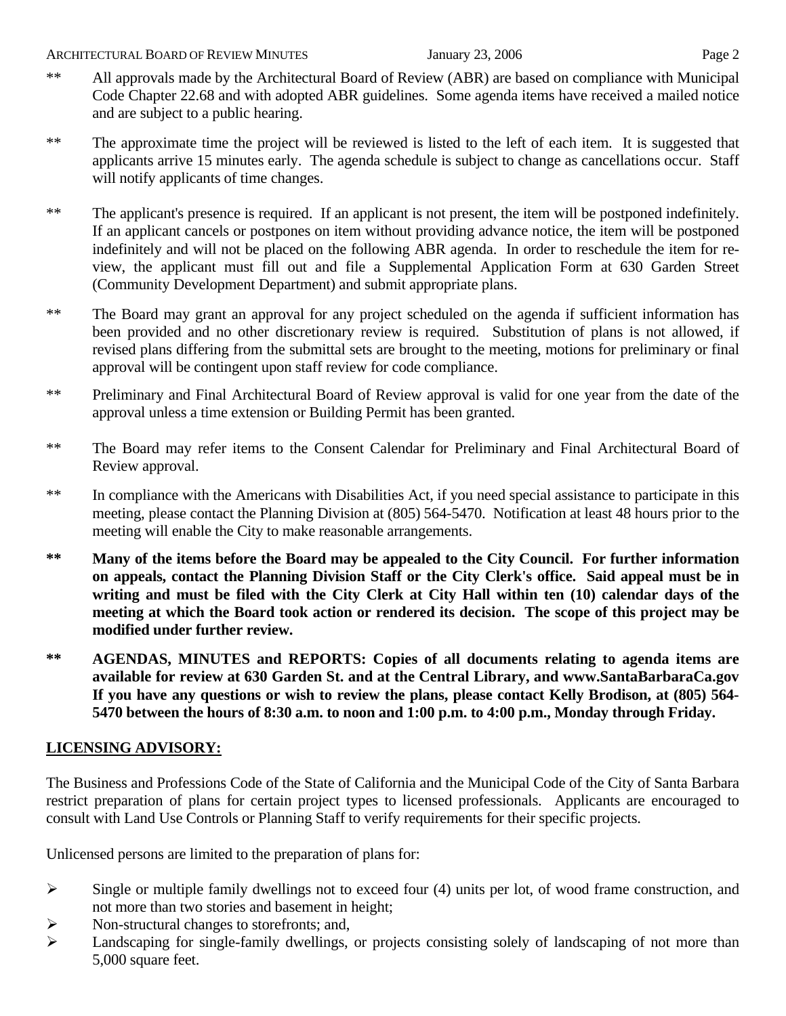- \*\* All approvals made by the Architectural Board of Review (ABR) are based on compliance with Municipal Code Chapter 22.68 and with adopted ABR guidelines. Some agenda items have received a mailed notice and are subject to a public hearing.
- \*\* The approximate time the project will be reviewed is listed to the left of each item. It is suggested that applicants arrive 15 minutes early. The agenda schedule is subject to change as cancellations occur. Staff will notify applicants of time changes.
- \*\* The applicant's presence is required. If an applicant is not present, the item will be postponed indefinitely. If an applicant cancels or postpones on item without providing advance notice, the item will be postponed indefinitely and will not be placed on the following ABR agenda. In order to reschedule the item for review, the applicant must fill out and file a Supplemental Application Form at 630 Garden Street (Community Development Department) and submit appropriate plans.
- \*\* The Board may grant an approval for any project scheduled on the agenda if sufficient information has been provided and no other discretionary review is required. Substitution of plans is not allowed, if revised plans differing from the submittal sets are brought to the meeting, motions for preliminary or final approval will be contingent upon staff review for code compliance.
- \*\* Preliminary and Final Architectural Board of Review approval is valid for one year from the date of the approval unless a time extension or Building Permit has been granted.
- \*\* The Board may refer items to the Consent Calendar for Preliminary and Final Architectural Board of Review approval.
- \*\* In compliance with the Americans with Disabilities Act, if you need special assistance to participate in this meeting, please contact the Planning Division at (805) 564-5470. Notification at least 48 hours prior to the meeting will enable the City to make reasonable arrangements.
- **\*\* Many of the items before the Board may be appealed to the City Council. For further information on appeals, contact the Planning Division Staff or the City Clerk's office. Said appeal must be in writing and must be filed with the City Clerk at City Hall within ten (10) calendar days of the meeting at which the Board took action or rendered its decision. The scope of this project may be modified under further review.**
- **\*\* AGENDAS, MINUTES and REPORTS: Copies of all documents relating to agenda items are available for review at 630 Garden St. and at the Central Library, and [www.SantaBarbaraCa.gov](http://www.santabarbaraca.gov/)  If you have any questions or wish to review the plans, please contact Kelly Brodison, at (805) 564- 5470 between the hours of 8:30 a.m. to noon and 1:00 p.m. to 4:00 p.m., Monday through Friday.**

# **LICENSING ADVISORY:**

The Business and Professions Code of the State of California and the Municipal Code of the City of Santa Barbara restrict preparation of plans for certain project types to licensed professionals. Applicants are encouraged to consult with Land Use Controls or Planning Staff to verify requirements for their specific projects.

Unlicensed persons are limited to the preparation of plans for:

- $\triangleright$  Single or multiple family dwellings not to exceed four (4) units per lot, of wood frame construction, and not more than two stories and basement in height;
- ¾ Non-structural changes to storefronts; and,
- ¾ Landscaping for single-family dwellings, or projects consisting solely of landscaping of not more than 5,000 square feet.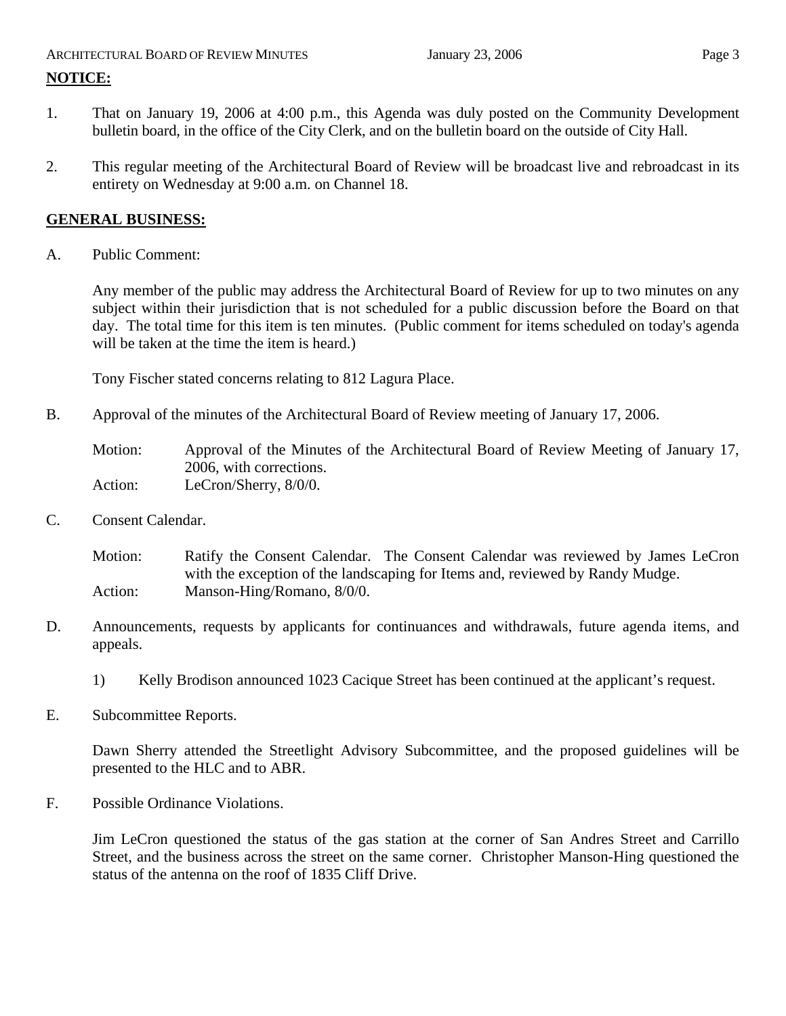# ARCHITECTURAL BOARD OF REVIEW MINUTES January 23, 2006 **Page 3 NOTICE:**

- 1. That on January 19, 2006 at 4:00 p.m., this Agenda was duly posted on the Community Development bulletin board, in the office of the City Clerk, and on the bulletin board on the outside of City Hall.
- 2. This regular meeting of the Architectural Board of Review will be broadcast live and rebroadcast in its entirety on Wednesday at 9:00 a.m. on Channel 18.

# **GENERAL BUSINESS:**

A. Public Comment:

Any member of the public may address the Architectural Board of Review for up to two minutes on any subject within their jurisdiction that is not scheduled for a public discussion before the Board on that day. The total time for this item is ten minutes. (Public comment for items scheduled on today's agenda will be taken at the time the item is heard.)

Tony Fischer stated concerns relating to 812 Lagura Place.

B. Approval of the minutes of the Architectural Board of Review meeting of January 17, 2006.

Motion: Approval of the Minutes of the Architectural Board of Review Meeting of January 17, 2006, with corrections. Action: LeCron/Sherry, 8/0/0.

C. Consent Calendar.

Motion: Ratify the Consent Calendar. The Consent Calendar was reviewed by James LeCron with the exception of the landscaping for Items and, reviewed by Randy Mudge. Action: Manson-Hing/Romano, 8/0/0.

- D. Announcements, requests by applicants for continuances and withdrawals, future agenda items, and appeals.
	- 1) Kelly Brodison announced 1023 Cacique Street has been continued at the applicant's request.
- E. Subcommittee Reports.

Dawn Sherry attended the Streetlight Advisory Subcommittee, and the proposed guidelines will be presented to the HLC and to ABR.

F. Possible Ordinance Violations.

Jim LeCron questioned the status of the gas station at the corner of San Andres Street and Carrillo Street, and the business across the street on the same corner. Christopher Manson-Hing questioned the status of the antenna on the roof of 1835 Cliff Drive.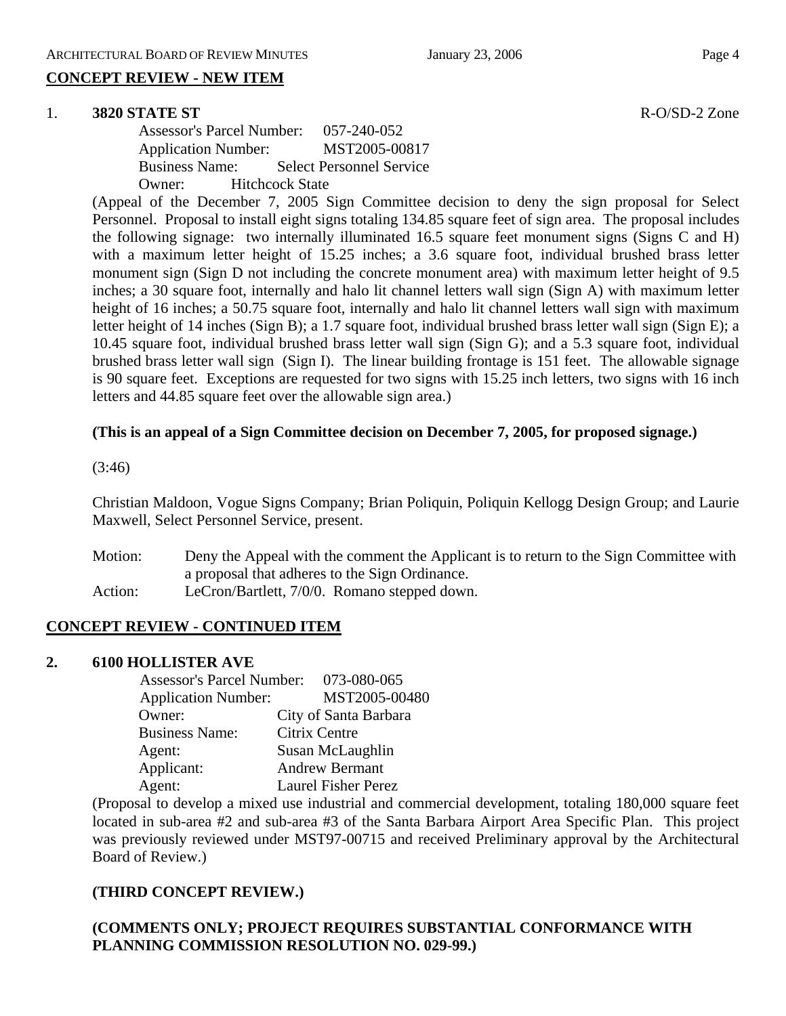# **CONCEPT REVIEW - NEW ITEM**

#### 1. **3820 STATE ST** R-O/SD-2 Zone

Assessor's Parcel Number: 057-240-052 Application Number: MST2005-00817 Business Name: Select Personnel Service Owner: Hitchcock State

(Appeal of the December 7, 2005 Sign Committee decision to deny the sign proposal for Select Personnel. Proposal to install eight signs totaling 134.85 square feet of sign area. The proposal includes the following signage: two internally illuminated 16.5 square feet monument signs (Signs C and H) with a maximum letter height of 15.25 inches; a 3.6 square foot, individual brushed brass letter monument sign (Sign D not including the concrete monument area) with maximum letter height of 9.5 inches; a 30 square foot, internally and halo lit channel letters wall sign (Sign A) with maximum letter height of 16 inches; a 50.75 square foot, internally and halo lit channel letters wall sign with maximum letter height of 14 inches (Sign B); a 1.7 square foot, individual brushed brass letter wall sign (Sign E); a 10.45 square foot, individual brushed brass letter wall sign (Sign G); and a 5.3 square foot, individual brushed brass letter wall sign (Sign I). The linear building frontage is 151 feet. The allowable signage is 90 square feet. Exceptions are requested for two signs with 15.25 inch letters, two signs with 16 inch letters and 44.85 square feet over the allowable sign area.)

#### **(This is an appeal of a Sign Committee decision on December 7, 2005, for proposed signage.)**

#### (3:46)

Christian Maldoon, Vogue Signs Company; Brian Poliquin, Poliquin Kellogg Design Group; and Laurie Maxwell, Select Personnel Service, present.

Motion: Deny the Appeal with the comment the Applicant is to return to the Sign Committee with a proposal that adheres to the Sign Ordinance. Action: LeCron/Bartlett, 7/0/0. Romano stepped down.

#### **CONCEPT REVIEW - CONTINUED ITEM**

#### **2. 6100 HOLLISTER AVE**

| Assessor's Parcel Number: 073-080-065 |                            |
|---------------------------------------|----------------------------|
| <b>Application Number:</b>            | MST2005-00480              |
| Owner:                                | City of Santa Barbara      |
| <b>Business Name:</b>                 | Citrix Centre              |
| Agent:                                | Susan McLaughlin           |
| Applicant:                            | <b>Andrew Bermant</b>      |
| Agent:                                | <b>Laurel Fisher Perez</b> |

(Proposal to develop a mixed use industrial and commercial development, totaling 180,000 square feet located in sub-area #2 and sub-area #3 of the Santa Barbara Airport Area Specific Plan. This project was previously reviewed under MST97-00715 and received Preliminary approval by the Architectural Board of Review.)

# **(THIRD CONCEPT REVIEW.)**

## **(COMMENTS ONLY; PROJECT REQUIRES SUBSTANTIAL CONFORMANCE WITH PLANNING COMMISSION RESOLUTION NO. 029-99.)**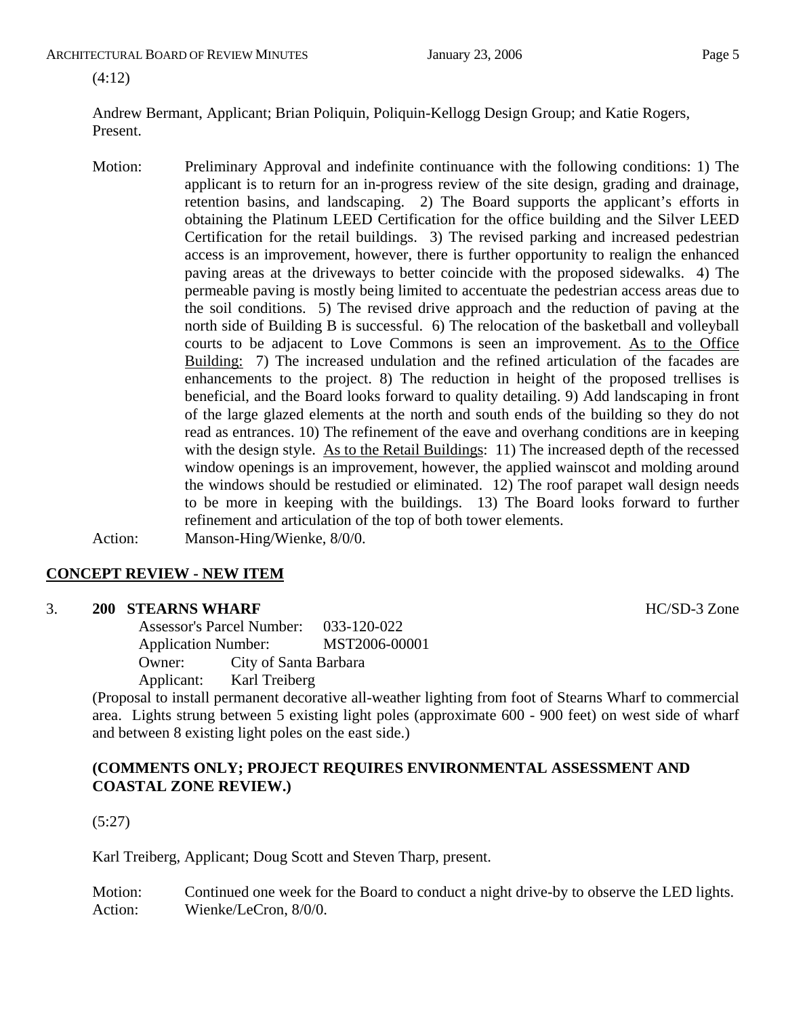ARCHITECTURAL BOARD OF REVIEW MINUTES **First** January 23, 2006 **Page 5** 

(4:12)

Andrew Bermant, Applicant; Brian Poliquin, Poliquin-Kellogg Design Group; and Katie Rogers, Present.

Motion: Preliminary Approval and indefinite continuance with the following conditions: 1) The applicant is to return for an in-progress review of the site design, grading and drainage, retention basins, and landscaping. 2) The Board supports the applicant's efforts in obtaining the Platinum LEED Certification for the office building and the Silver LEED Certification for the retail buildings. 3) The revised parking and increased pedestrian access is an improvement, however, there is further opportunity to realign the enhanced paving areas at the driveways to better coincide with the proposed sidewalks. 4) The permeable paving is mostly being limited to accentuate the pedestrian access areas due to the soil conditions. 5) The revised drive approach and the reduction of paving at the north side of Building B is successful. 6) The relocation of the basketball and volleyball courts to be adjacent to Love Commons is seen an improvement. As to the Office Building: 7) The increased undulation and the refined articulation of the facades are enhancements to the project. 8) The reduction in height of the proposed trellises is beneficial, and the Board looks forward to quality detailing. 9) Add landscaping in front of the large glazed elements at the north and south ends of the building so they do not read as entrances. 10) The refinement of the eave and overhang conditions are in keeping with the design style. As to the Retail Buildings: 11) The increased depth of the recessed window openings is an improvement, however, the applied wainscot and molding around the windows should be restudied or eliminated. 12) The roof parapet wall design needs to be more in keeping with the buildings. 13) The Board looks forward to further refinement and articulation of the top of both tower elements. Action: Manson-Hing/Wienke, 8/0/0.

# **CONCEPT REVIEW - NEW ITEM**

#### 3. **200 STEARNS WHARF HC/SD-3** Zone

Assessor's Parcel Number: 033-120-022 Application Number: MST2006-00001 Owner: City of Santa Barbara Applicant: Karl Treiberg

(Proposal to install permanent decorative all-weather lighting from foot of Stearns Wharf to commercial area. Lights strung between 5 existing light poles (approximate 600 - 900 feet) on west side of wharf and between 8 existing light poles on the east side.)

## **(COMMENTS ONLY; PROJECT REQUIRES ENVIRONMENTAL ASSESSMENT AND COASTAL ZONE REVIEW.)**

# (5:27)

Karl Treiberg, Applicant; Doug Scott and Steven Tharp, present.

Motion: Continued one week for the Board to conduct a night drive-by to observe the LED lights. Action: Wienke/LeCron, 8/0/0.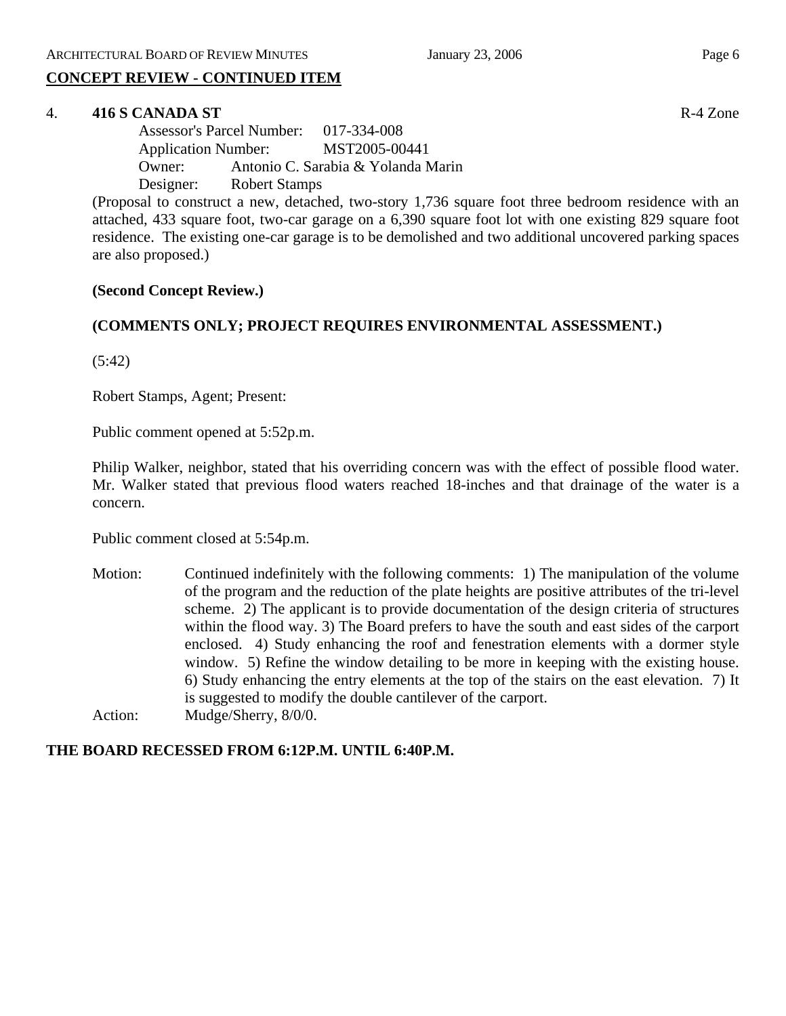# **CONCEPT REVIEW - CONTINUED ITEM**

#### 4. **416 S CANADA ST** R-4 Zone

Assessor's Parcel Number: 017-334-008 Application Number: MST2005-00441 Owner: Antonio C. Sarabia & Yolanda Marin Designer: Robert Stamps

(Proposal to construct a new, detached, two-story 1,736 square foot three bedroom residence with an attached, 433 square foot, two-car garage on a 6,390 square foot lot with one existing 829 square foot residence. The existing one-car garage is to be demolished and two additional uncovered parking spaces are also proposed.)

#### **(Second Concept Review.)**

#### **(COMMENTS ONLY; PROJECT REQUIRES ENVIRONMENTAL ASSESSMENT.)**

(5:42)

Robert Stamps, Agent; Present:

Public comment opened at 5:52p.m.

Philip Walker, neighbor, stated that his overriding concern was with the effect of possible flood water. Mr. Walker stated that previous flood waters reached 18-inches and that drainage of the water is a concern.

Public comment closed at 5:54p.m.

Motion: Continued indefinitely with the following comments: 1) The manipulation of the volume of the program and the reduction of the plate heights are positive attributes of the tri-level scheme. 2) The applicant is to provide documentation of the design criteria of structures within the flood way. 3) The Board prefers to have the south and east sides of the carport enclosed. 4) Study enhancing the roof and fenestration elements with a dormer style window. 5) Refine the window detailing to be more in keeping with the existing house. 6) Study enhancing the entry elements at the top of the stairs on the east elevation. 7) It is suggested to modify the double cantilever of the carport. Action: Mudge/Sherry, 8/0/0.

#### **THE BOARD RECESSED FROM 6:12P.M. UNTIL 6:40P.M.**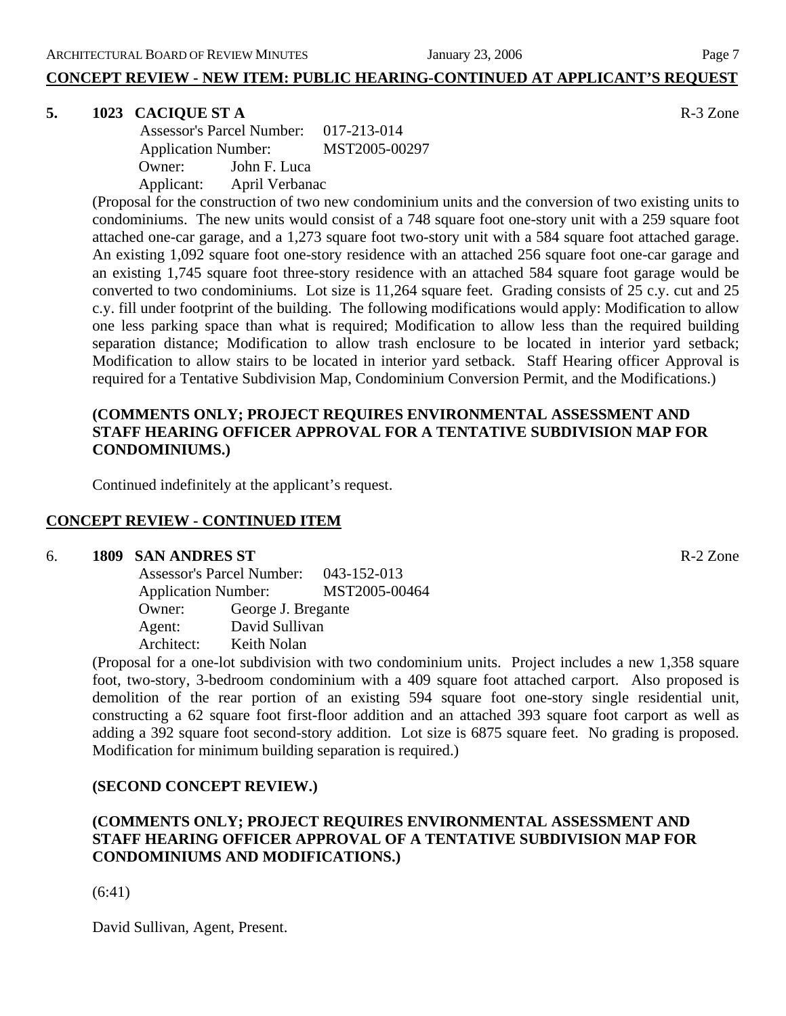**CONCEPT REVIEW - NEW ITEM: PUBLIC HEARING-CONTINUED AT APPLICANT'S REQUEST**

#### **5. 1023 CACIQUE ST A** R-3 Zone

 Assessor's Parcel Number: 017-213-014 Application Number: MST2005-00297 Owner: John F. Luca Applicant: April Verbanac

(Proposal for the construction of two new condominium units and the conversion of two existing units to condominiums. The new units would consist of a 748 square foot one-story unit with a 259 square foot attached one-car garage, and a 1,273 square foot two-story unit with a 584 square foot attached garage. An existing 1,092 square foot one-story residence with an attached 256 square foot one-car garage and an existing 1,745 square foot three-story residence with an attached 584 square foot garage would be converted to two condominiums. Lot size is 11,264 square feet. Grading consists of 25 c.y. cut and 25 c.y. fill under footprint of the building. The following modifications would apply: Modification to allow one less parking space than what is required; Modification to allow less than the required building separation distance; Modification to allow trash enclosure to be located in interior yard setback; Modification to allow stairs to be located in interior yard setback. Staff Hearing officer Approval is required for a Tentative Subdivision Map, Condominium Conversion Permit, and the Modifications.)

# **(COMMENTS ONLY; PROJECT REQUIRES ENVIRONMENTAL ASSESSMENT AND STAFF HEARING OFFICER APPROVAL FOR A TENTATIVE SUBDIVISION MAP FOR CONDOMINIUMS.)**

Continued indefinitely at the applicant's request.

#### **CONCEPT REVIEW - CONTINUED ITEM**

#### 6. **1809 SAN ANDRES ST** R-2 Zone

Assessor's Parcel Number: 043-152-013 Application Number: MST2005-00464 Owner: George J. Bregante Agent: David Sullivan Architect: Keith Nolan

(Proposal for a one-lot subdivision with two condominium units. Project includes a new 1,358 square foot, two-story, 3-bedroom condominium with a 409 square foot attached carport. Also proposed is demolition of the rear portion of an existing 594 square foot one-story single residential unit, constructing a 62 square foot first-floor addition and an attached 393 square foot carport as well as adding a 392 square foot second-story addition. Lot size is 6875 square feet. No grading is proposed. Modification for minimum building separation is required.)

#### **(SECOND CONCEPT REVIEW.)**

# **(COMMENTS ONLY; PROJECT REQUIRES ENVIRONMENTAL ASSESSMENT AND STAFF HEARING OFFICER APPROVAL OF A TENTATIVE SUBDIVISION MAP FOR CONDOMINIUMS AND MODIFICATIONS.)**

(6:41)

David Sullivan, Agent, Present.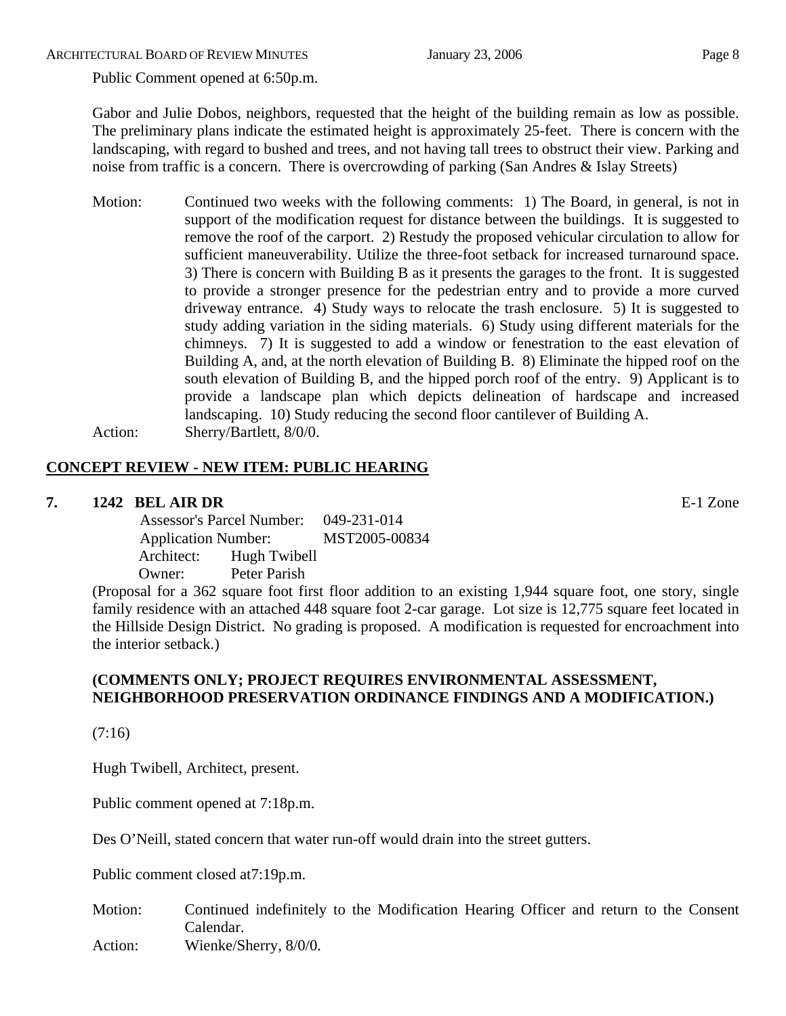ARCHITECTURAL BOARD OF REVIEW MINUTES **First** January 23, 2006 **Page 8** 

Public Comment opened at 6:50p.m.

Gabor and Julie Dobos, neighbors, requested that the height of the building remain as low as possible. The preliminary plans indicate the estimated height is approximately 25-feet. There is concern with the landscaping, with regard to bushed and trees, and not having tall trees to obstruct their view. Parking and noise from traffic is a concern. There is overcrowding of parking (San Andres & Islay Streets)

Motion: Continued two weeks with the following comments: 1) The Board, in general, is not in support of the modification request for distance between the buildings. It is suggested to remove the roof of the carport. 2) Restudy the proposed vehicular circulation to allow for sufficient maneuverability. Utilize the three-foot setback for increased turnaround space. 3) There is concern with Building B as it presents the garages to the front. It is suggested to provide a stronger presence for the pedestrian entry and to provide a more curved driveway entrance. 4) Study ways to relocate the trash enclosure. 5) It is suggested to study adding variation in the siding materials. 6) Study using different materials for the chimneys. 7) It is suggested to add a window or fenestration to the east elevation of Building A, and, at the north elevation of Building B. 8) Eliminate the hipped roof on the south elevation of Building B, and the hipped porch roof of the entry. 9) Applicant is to provide a landscape plan which depicts delineation of hardscape and increased landscaping. 10) Study reducing the second floor cantilever of Building A. Action: Sherry/Bartlett, 8/0/0.

# **CONCEPT REVIEW - NEW ITEM: PUBLIC HEARING**

## **7. 1242 BEL AIR DR** E-1 Zone

 Assessor's Parcel Number: 049-231-014 Application Number: MST2005-00834 Architect: Hugh Twibell Owner: Peter Parish

(Proposal for a 362 square foot first floor addition to an existing 1,944 square foot, one story, single family residence with an attached 448 square foot 2-car garage. Lot size is 12,775 square feet located in the Hillside Design District. No grading is proposed. A modification is requested for encroachment into the interior setback.)

# **(COMMENTS ONLY; PROJECT REQUIRES ENVIRONMENTAL ASSESSMENT, NEIGHBORHOOD PRESERVATION ORDINANCE FINDINGS AND A MODIFICATION.)**

(7:16)

Hugh Twibell, Architect, present.

Public comment opened at 7:18p.m.

Des O'Neill, stated concern that water run-off would drain into the street gutters.

Public comment closed at7:19p.m.

- Motion: Continued indefinitely to the Modification Hearing Officer and return to the Consent Calendar.
- Action: Wienke/Sherry,  $8/0/0$ .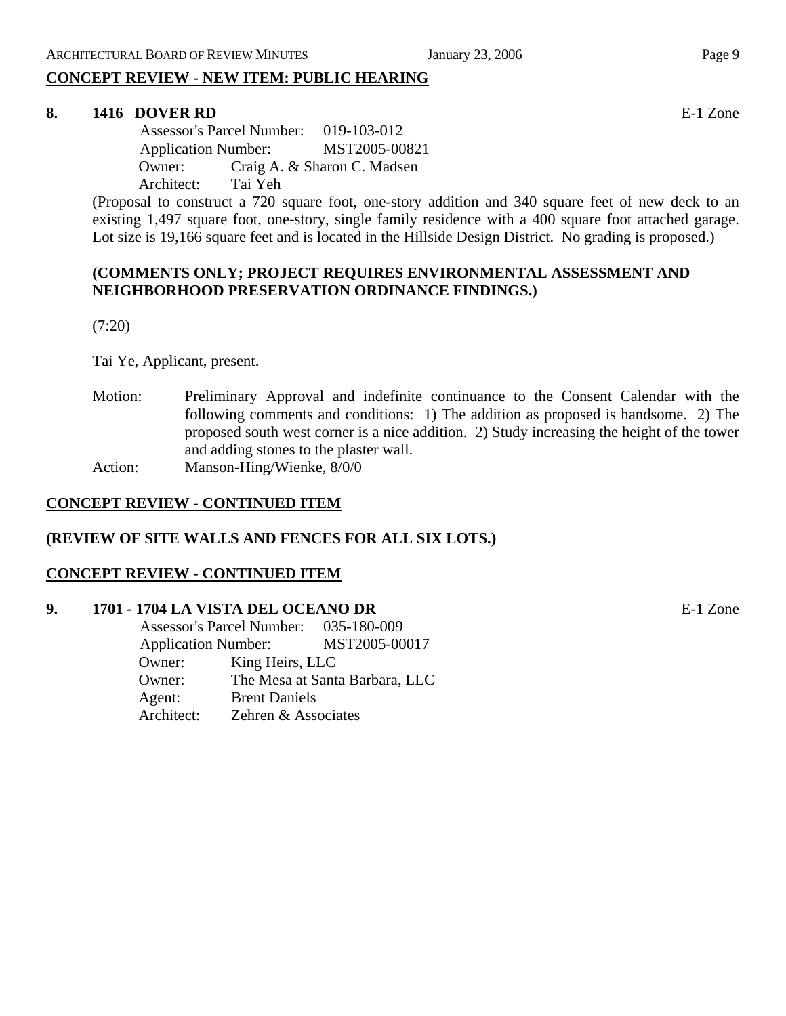# **CONCEPT REVIEW - NEW ITEM: PUBLIC HEARING**

#### **8. 1416 DOVER RD** E-1 Zone

 Assessor's Parcel Number: 019-103-012 Application Number: MST2005-00821 Owner: Craig A. & Sharon C. Madsen Architect: Tai Yeh

(Proposal to construct a 720 square foot, one-story addition and 340 square feet of new deck to an existing 1,497 square foot, one-story, single family residence with a 400 square foot attached garage. Lot size is 19,166 square feet and is located in the Hillside Design District. No grading is proposed.)

### **(COMMENTS ONLY; PROJECT REQUIRES ENVIRONMENTAL ASSESSMENT AND NEIGHBORHOOD PRESERVATION ORDINANCE FINDINGS.)**

(7:20)

Tai Ye, Applicant, present.

Motion: Preliminary Approval and indefinite continuance to the Consent Calendar with the following comments and conditions: 1) The addition as proposed is handsome. 2) The proposed south west corner is a nice addition. 2) Study increasing the height of the tower and adding stones to the plaster wall. Action: Manson-Hing/Wienke, 8/0/0

# **CONCEPT REVIEW - CONTINUED ITEM**

#### **(REVIEW OF SITE WALLS AND FENCES FOR ALL SIX LOTS.)**

#### **CONCEPT REVIEW - CONTINUED ITEM**

#### **9. 1701 - 1704 LA VISTA DEL OCEANO DR** E-1 Zone

 Assessor's Parcel Number: 035-180-009 Application Number: MST2005-00017 Owner: King Heirs, LLC Owner: The Mesa at Santa Barbara, LLC Agent: Brent Daniels Architect: Zehren & Associates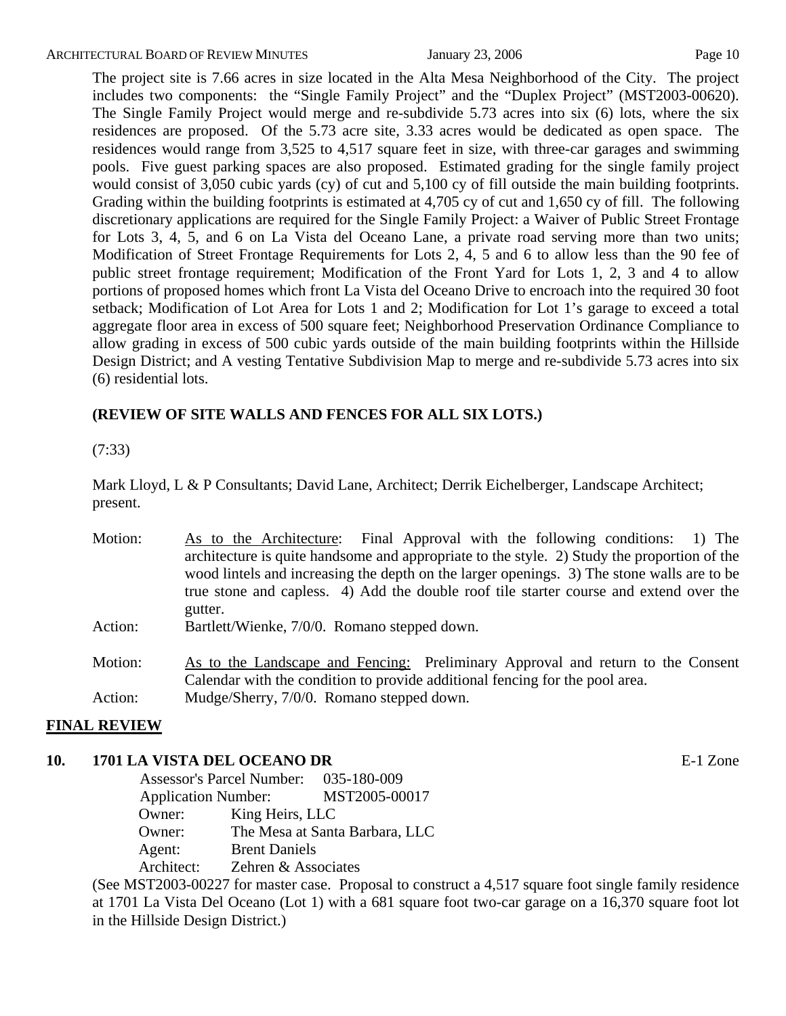ARCHITECTURAL BOARD OF REVIEW MINUTES **First** January 23, 2006 **Page 10** Page 10

The project site is 7.66 acres in size located in the Alta Mesa Neighborhood of the City. The project includes two components: the "Single Family Project" and the "Duplex Project" (MST2003-00620). The Single Family Project would merge and re-subdivide 5.73 acres into six (6) lots, where the six residences are proposed. Of the 5.73 acre site, 3.33 acres would be dedicated as open space. The residences would range from 3,525 to 4,517 square feet in size, with three-car garages and swimming pools. Five guest parking spaces are also proposed. Estimated grading for the single family project would consist of 3,050 cubic yards (cy) of cut and 5,100 cy of fill outside the main building footprints. Grading within the building footprints is estimated at 4,705 cy of cut and 1,650 cy of fill. The following discretionary applications are required for the Single Family Project: a Waiver of Public Street Frontage for Lots 3, 4, 5, and 6 on La Vista del Oceano Lane, a private road serving more than two units; Modification of Street Frontage Requirements for Lots 2, 4, 5 and 6 to allow less than the 90 fee of public street frontage requirement; Modification of the Front Yard for Lots 1, 2, 3 and 4 to allow portions of proposed homes which front La Vista del Oceano Drive to encroach into the required 30 foot setback; Modification of Lot Area for Lots 1 and 2; Modification for Lot 1's garage to exceed a total aggregate floor area in excess of 500 square feet; Neighborhood Preservation Ordinance Compliance to allow grading in excess of 500 cubic yards outside of the main building footprints within the Hillside Design District; and A vesting Tentative Subdivision Map to merge and re-subdivide 5.73 acres into six (6) residential lots.

# **(REVIEW OF SITE WALLS AND FENCES FOR ALL SIX LOTS.)**

(7:33)

Mark Lloyd, L & P Consultants; David Lane, Architect; Derrik Eichelberger, Landscape Architect; present.

| Motion: | As to the Architecture: Final Approval with the following conditions: 1) The                |  |  |  |  |
|---------|---------------------------------------------------------------------------------------------|--|--|--|--|
|         | architecture is quite handsome and appropriate to the style. 2) Study the proportion of the |  |  |  |  |
|         | wood lintels and increasing the depth on the larger openings. 3) The stone walls are to be  |  |  |  |  |
|         | true stone and capless. 4) Add the double roof tile starter course and extend over the      |  |  |  |  |
|         | gutter.                                                                                     |  |  |  |  |
| Action: | Bartlett/Wienke, 7/0/0. Romano stepped down.                                                |  |  |  |  |
| Motion: | As to the Landscape and Fencing: Preliminary Approval and return to the Consent             |  |  |  |  |
|         | Calendar with the condition to provide additional fencing for the pool area.                |  |  |  |  |
| Action: | Mudge/Sherry, 7/0/0. Romano stepped down.                                                   |  |  |  |  |

#### **FINAL REVIEW**

#### **10. 1701 LA VISTA DEL OCEANO DR** E-1 Zone Assessor's Parcel Number: 035-180-009 Application Number: MST2005-00017 Owner: King Heirs, LLC Owner: The Mesa at Santa Barbara, LLC Agent: Brent Daniels Architect: Zehren & Associates

(See MST2003-00227 for master case. Proposal to construct a 4,517 square foot single family residence at 1701 La Vista Del Oceano (Lot 1) with a 681 square foot two-car garage on a 16,370 square foot lot in the Hillside Design District.)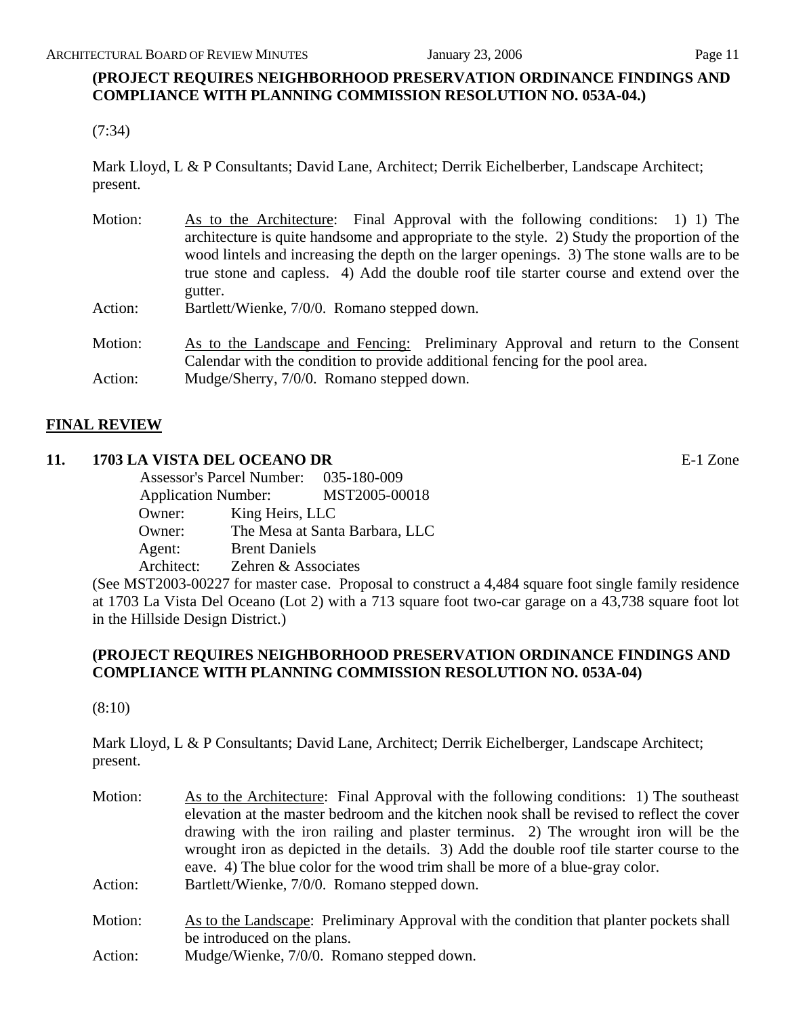# **(PROJECT REQUIRES NEIGHBORHOOD PRESERVATION ORDINANCE FINDINGS AND COMPLIANCE WITH PLANNING COMMISSION RESOLUTION NO. 053A-04.)**

(7:34)

Mark Lloyd, L & P Consultants; David Lane, Architect; Derrik Eichelberber, Landscape Architect; present.

| Motion: | As to the Architecture: Final Approval with the following conditions: 1) 1) The<br>architecture is quite handsome and appropriate to the style. 2) Study the proportion of the<br>wood lintels and increasing the depth on the larger openings. 3) The stone walls are to be<br>true stone and capless. 4) Add the double roof tile starter course and extend over the |
|---------|------------------------------------------------------------------------------------------------------------------------------------------------------------------------------------------------------------------------------------------------------------------------------------------------------------------------------------------------------------------------|
|         | gutter.                                                                                                                                                                                                                                                                                                                                                                |
| Action: | Bartlett/Wienke, 7/0/0. Romano stepped down.                                                                                                                                                                                                                                                                                                                           |
| Motion: | As to the Landscape and Fencing: Preliminary Approval and return to the Consent<br>Calendar with the condition to provide additional fencing for the pool area.                                                                                                                                                                                                        |
| Action: | Mudge/Sherry, 7/0/0. Romano stepped down.                                                                                                                                                                                                                                                                                                                              |

# **FINAL REVIEW**

# **11. 1703 LA VISTA DEL OCEANO DR** E-1 Zone

|            | Assessor's Parcel Number: 035-180-009 |                                |
|------------|---------------------------------------|--------------------------------|
|            | <b>Application Number:</b>            | MST2005-00018                  |
| Owner:     | King Heirs, LLC                       |                                |
| Owner:     |                                       | The Mesa at Santa Barbara, LLC |
| Agent:     | <b>Brent Daniels</b>                  |                                |
| Architect: | Zehren & Associates                   |                                |

(See MST2003-00227 for master case. Proposal to construct a 4,484 square foot single family residence at 1703 La Vista Del Oceano (Lot 2) with a 713 square foot two-car garage on a 43,738 square foot lot in the Hillside Design District.)

## **(PROJECT REQUIRES NEIGHBORHOOD PRESERVATION ORDINANCE FINDINGS AND COMPLIANCE WITH PLANNING COMMISSION RESOLUTION NO. 053A-04)**

(8:10)

Mark Lloyd, L & P Consultants; David Lane, Architect; Derrik Eichelberger, Landscape Architect; present.

Motion: As to the Architecture: Final Approval with the following conditions: 1) The southeast elevation at the master bedroom and the kitchen nook shall be revised to reflect the cover drawing with the iron railing and plaster terminus. 2) The wrought iron will be the wrought iron as depicted in the details. 3) Add the double roof tile starter course to the eave. 4) The blue color for the wood trim shall be more of a blue-gray color. Action: Bartlett/Wienke, 7/0/0. Romano stepped down. Motion: As to the Landscape: Preliminary Approval with the condition that planter pockets shall be introduced on the plans. Action: Mudge/Wienke, 7/0/0. Romano stepped down.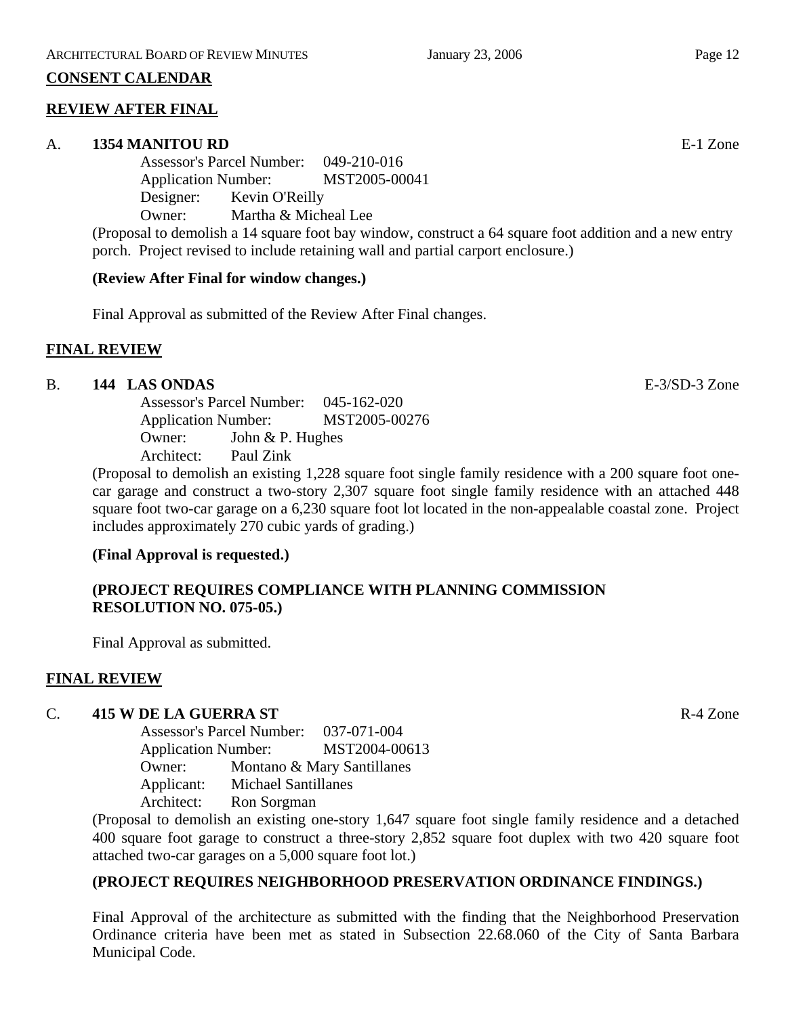### **CONSENT CALENDAR**

## **REVIEW AFTER FINAL**

#### A. **1354 MANITOU RD** E-1 Zone

Assessor's Parcel Number: 049-210-016 Application Number: MST2005-00041 Designer: Kevin O'Reilly Owner: Martha & Micheal Lee

(Proposal to demolish a 14 square foot bay window, construct a 64 square foot addition and a new entry porch. Project revised to include retaining wall and partial carport enclosure.)

## **(Review After Final for window changes.)**

Final Approval as submitted of the Review After Final changes.

## **FINAL REVIEW**

## B. **144 LAS ONDAS** E-3/SD-3 Zone

Assessor's Parcel Number: 045-162-020 Application Number: MST2005-00276 Owner: John & P. Hughes Architect: Paul Zink

(Proposal to demolish an existing 1,228 square foot single family residence with a 200 square foot onecar garage and construct a two-story 2,307 square foot single family residence with an attached 448 square foot two-car garage on a 6,230 square foot lot located in the non-appealable coastal zone. Project includes approximately 270 cubic yards of grading.)

#### **(Final Approval is requested.)**

# **(PROJECT REQUIRES COMPLIANCE WITH PLANNING COMMISSION RESOLUTION NO. 075-05.)**

Final Approval as submitted.

# **FINAL REVIEW**

#### C. **415 W DE LA GUERRA ST** R-4 Zone

Assessor's Parcel Number: 037-071-004 Application Number: MST2004-00613 Owner: Montano & Mary Santillanes Applicant: Michael Santillanes Architect: Ron Sorgman

(Proposal to demolish an existing one-story 1,647 square foot single family residence and a detached 400 square foot garage to construct a three-story 2,852 square foot duplex with two 420 square foot attached two-car garages on a 5,000 square foot lot.)

# **(PROJECT REQUIRES NEIGHBORHOOD PRESERVATION ORDINANCE FINDINGS.)**

Final Approval of the architecture as submitted with the finding that the Neighborhood Preservation Ordinance criteria have been met as stated in Subsection 22.68.060 of the City of Santa Barbara Municipal Code.